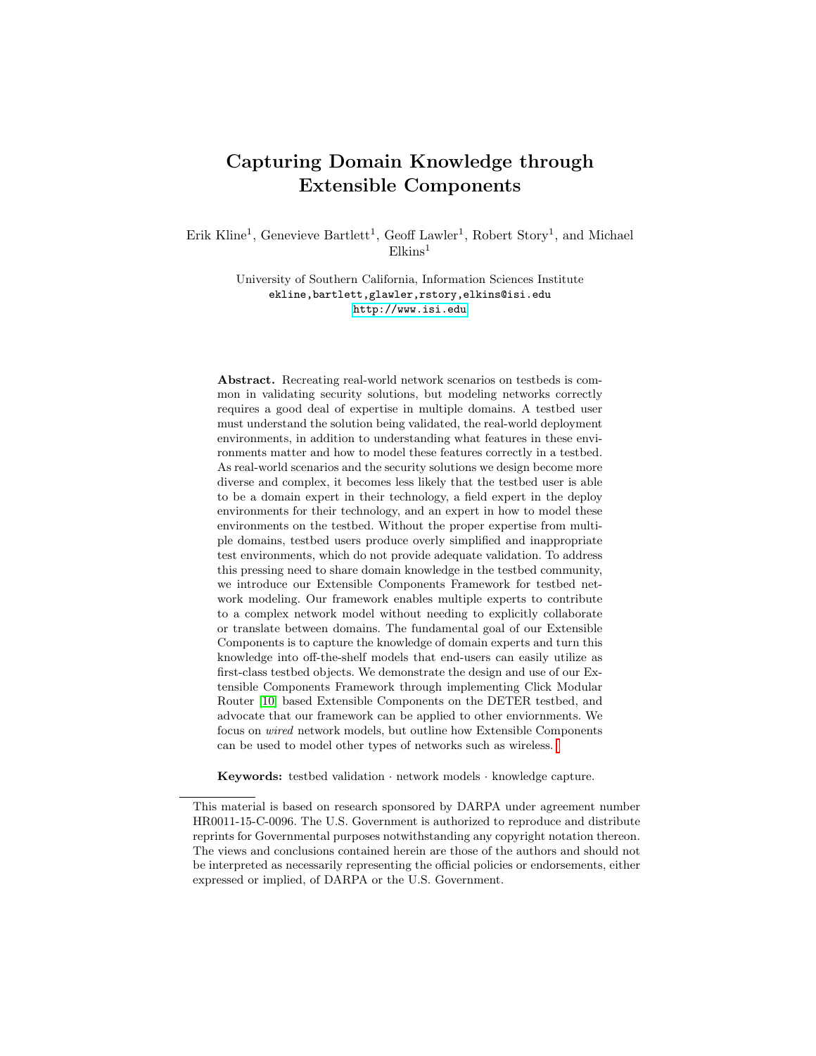# Capturing Domain Knowledge through Extensible Components

Erik Kline<sup>1</sup>, Genevieve Bartlett<sup>1</sup>, Geoff Lawler<sup>1</sup>, Robert Story<sup>1</sup>, and Michael  $E$ lkins<sup>1</sup>

> University of Southern California, Information Sciences Institute ekline,bartlett,glawler,rstory,elkins@isi.edu <http://www.isi.edu>

Abstract. Recreating real-world network scenarios on testbeds is common in validating security solutions, but modeling networks correctly requires a good deal of expertise in multiple domains. A testbed user must understand the solution being validated, the real-world deployment environments, in addition to understanding what features in these environments matter and how to model these features correctly in a testbed. As real-world scenarios and the security solutions we design become more diverse and complex, it becomes less likely that the testbed user is able to be a domain expert in their technology, a field expert in the deploy environments for their technology, and an expert in how to model these environments on the testbed. Without the proper expertise from multiple domains, testbed users produce overly simplified and inappropriate test environments, which do not provide adequate validation. To address this pressing need to share domain knowledge in the testbed community, we introduce our Extensible Components Framework for testbed network modeling. Our framework enables multiple experts to contribute to a complex network model without needing to explicitly collaborate or translate between domains. The fundamental goal of our Extensible Components is to capture the knowledge of domain experts and turn this knowledge into off-the-shelf models that end-users can easily utilize as first-class testbed objects. We demonstrate the design and use of our Extensible Components Framework through implementing Click Modular Router [\[10\]](#page-15-0) based Extensible Components on the DETER testbed, and advocate that our framework can be applied to other enviornments. We focus on wired network models, but outline how Extensible Components can be used to model other types of networks such as wireless.

Keywords: testbed validation · network models · knowledge capture.

This material is based on research sponsored by DARPA under agreement number HR0011-15-C-0096. The U.S. Government is authorized to reproduce and distribute reprints for Governmental purposes notwithstanding any copyright notation thereon. The views and conclusions contained herein are those of the authors and should not be interpreted as necessarily representing the official policies or endorsements, either expressed or implied, of DARPA or the U.S. Government.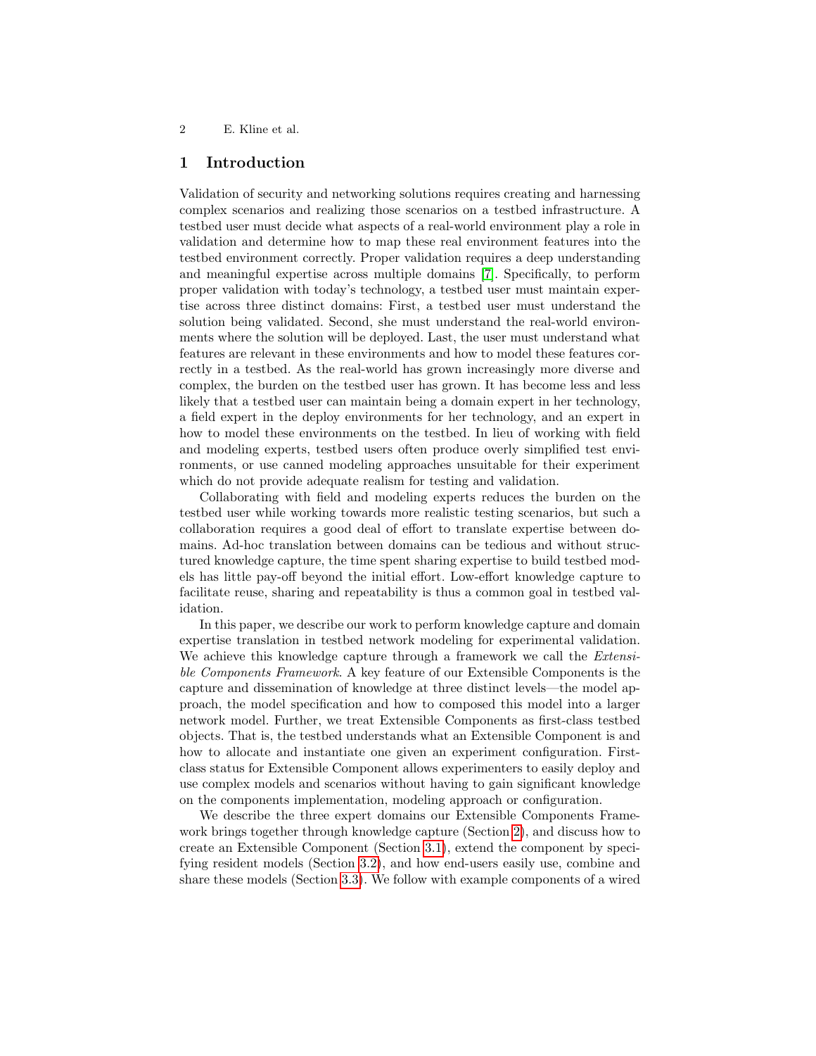# 1 Introduction

Validation of security and networking solutions requires creating and harnessing complex scenarios and realizing those scenarios on a testbed infrastructure. A testbed user must decide what aspects of a real-world environment play a role in validation and determine how to map these real environment features into the testbed environment correctly. Proper validation requires a deep understanding and meaningful expertise across multiple domains [\[7\]](#page-15-1). Specifically, to perform proper validation with today's technology, a testbed user must maintain expertise across three distinct domains: First, a testbed user must understand the solution being validated. Second, she must understand the real-world environments where the solution will be deployed. Last, the user must understand what features are relevant in these environments and how to model these features correctly in a testbed. As the real-world has grown increasingly more diverse and complex, the burden on the testbed user has grown. It has become less and less likely that a testbed user can maintain being a domain expert in her technology, a field expert in the deploy environments for her technology, and an expert in how to model these environments on the testbed. In lieu of working with field and modeling experts, testbed users often produce overly simplified test environments, or use canned modeling approaches unsuitable for their experiment which do not provide adequate realism for testing and validation.

Collaborating with field and modeling experts reduces the burden on the testbed user while working towards more realistic testing scenarios, but such a collaboration requires a good deal of effort to translate expertise between domains. Ad-hoc translation between domains can be tedious and without structured knowledge capture, the time spent sharing expertise to build testbed models has little pay-off beyond the initial effort. Low-effort knowledge capture to facilitate reuse, sharing and repeatability is thus a common goal in testbed validation.

In this paper, we describe our work to perform knowledge capture and domain expertise translation in testbed network modeling for experimental validation. We achieve this knowledge capture through a framework we call the *Extensi*ble Components Framework. A key feature of our Extensible Components is the capture and dissemination of knowledge at three distinct levels—the model approach, the model specification and how to composed this model into a larger network model. Further, we treat Extensible Components as first-class testbed objects. That is, the testbed understands what an Extensible Component is and how to allocate and instantiate one given an experiment configuration. Firstclass status for Extensible Component allows experimenters to easily deploy and use complex models and scenarios without having to gain significant knowledge on the components implementation, modeling approach or configuration.

We describe the three expert domains our Extensible Components Framework brings together through knowledge capture (Section [2\)](#page-2-0), and discuss how to create an Extensible Component (Section [3.1\)](#page-6-0), extend the component by specifying resident models (Section [3.2\)](#page-6-1), and how end-users easily use, combine and share these models (Section [3.3\)](#page-7-0). We follow with example components of a wired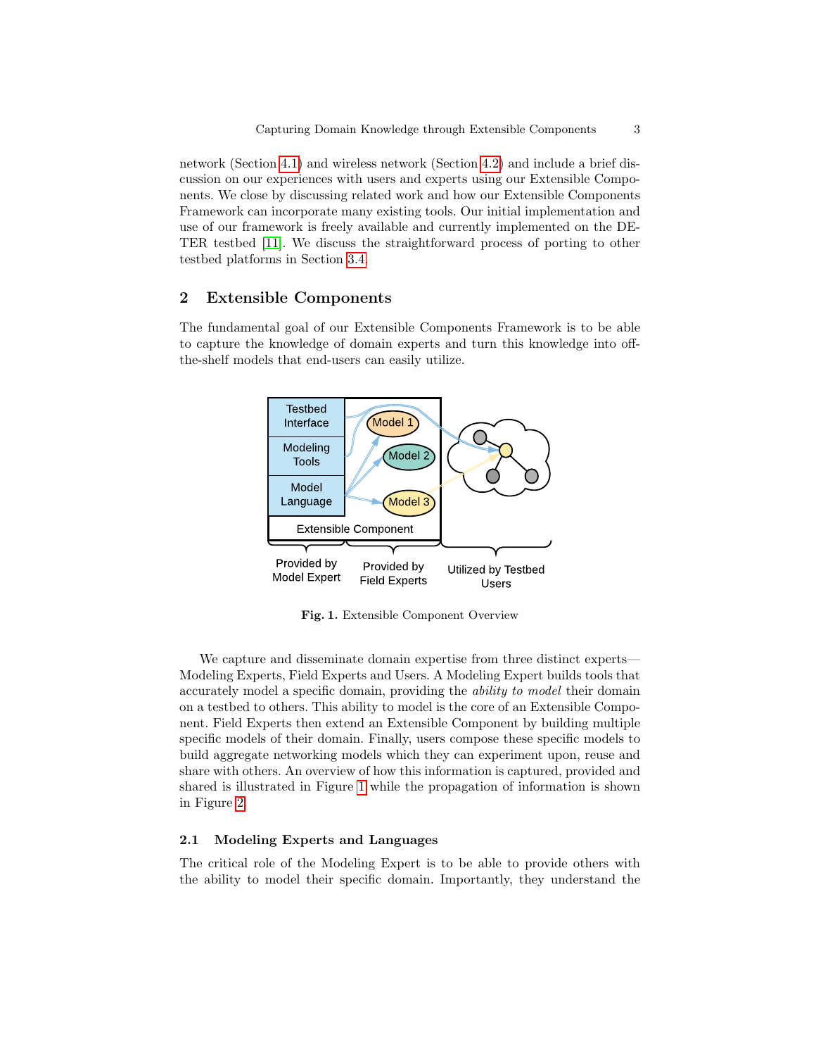network (Section [4.1\)](#page-8-0) and wireless network (Section [4.2\)](#page-12-0) and include a brief discussion on our experiences with users and experts using our Extensible Components. We close by discussing related work and how our Extensible Components Framework can incorporate many existing tools. Our initial implementation and use of our framework is freely available and currently implemented on the DE-TER testbed [\[11\]](#page-15-2). We discuss the straightforward process of porting to other testbed platforms in Section [3.4.](#page-7-1)

## <span id="page-2-0"></span>2 Extensible Components

The fundamental goal of our Extensible Components Framework is to be able to capture the knowledge of domain experts and turn this knowledge into offthe-shelf models that end-users can easily utilize.



<span id="page-2-1"></span>Fig. 1. Extensible Component Overview

We capture and disseminate domain expertise from three distinct experts— Modeling Experts, Field Experts and Users. A Modeling Expert builds tools that accurately model a specific domain, providing the ability to model their domain on a testbed to others. This ability to model is the core of an Extensible Component. Field Experts then extend an Extensible Component by building multiple specific models of their domain. Finally, users compose these specific models to build aggregate networking models which they can experiment upon, reuse and share with others. An overview of how this information is captured, provided and shared is illustrated in Figure [1](#page-2-1) while the propagation of information is shown in Figure [2.](#page--1-0)

# <span id="page-2-2"></span>2.1 Modeling Experts and Languages

The critical role of the Modeling Expert is to be able to provide others with the ability to model their specific domain. Importantly, they understand the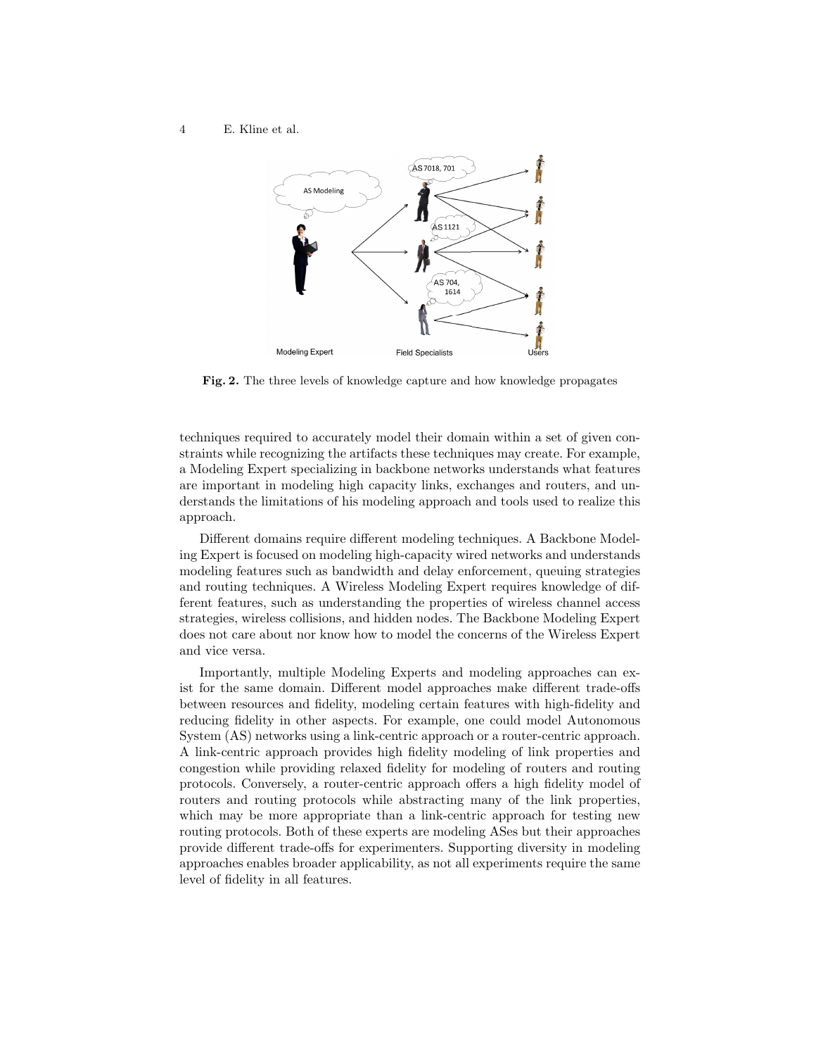

Fig. 2. The three levels of knowledge capture and how knowledge propagates

techniques required to accurately model their domain within a set of given constraints while recognizing the artifacts these techniques may create. For example, a Modeling Expert specializing in backbone networks understands what features are important in modeling high capacity links, exchanges and routers, and understands the limitations of his modeling approach and tools used to realize this approach.

Different domains require different modeling techniques. A Backbone Modeling Expert is focused on modeling high-capacity wired networks and understands modeling features such as bandwidth and delay enforcement, queuing strategies and routing techniques. A Wireless Modeling Expert requires knowledge of different features, such as understanding the properties of wireless channel access strategies, wireless collisions, and hidden nodes. The Backbone Modeling Expert does not care about nor know how to model the concerns of the Wireless Expert and vice versa.

Importantly, multiple Modeling Experts and modeling approaches can exist for the same domain. Different model approaches make different trade-offs between resources and fidelity, modeling certain features with high-fidelity and reducing fidelity in other aspects. For example, one could model Autonomous System (AS) networks using a link-centric approach or a router-centric approach. A link-centric approach provides high fidelity modeling of link properties and congestion while providing relaxed fidelity for modeling of routers and routing protocols. Conversely, a router-centric approach offers a high fidelity model of routers and routing protocols while abstracting many of the link properties, which may be more appropriate than a link-centric approach for testing new routing protocols. Both of these experts are modeling ASes but their approaches provide different trade-offs for experimenters. Supporting diversity in modeling approaches enables broader applicability, as not all experiments require the same level of fidelity in all features.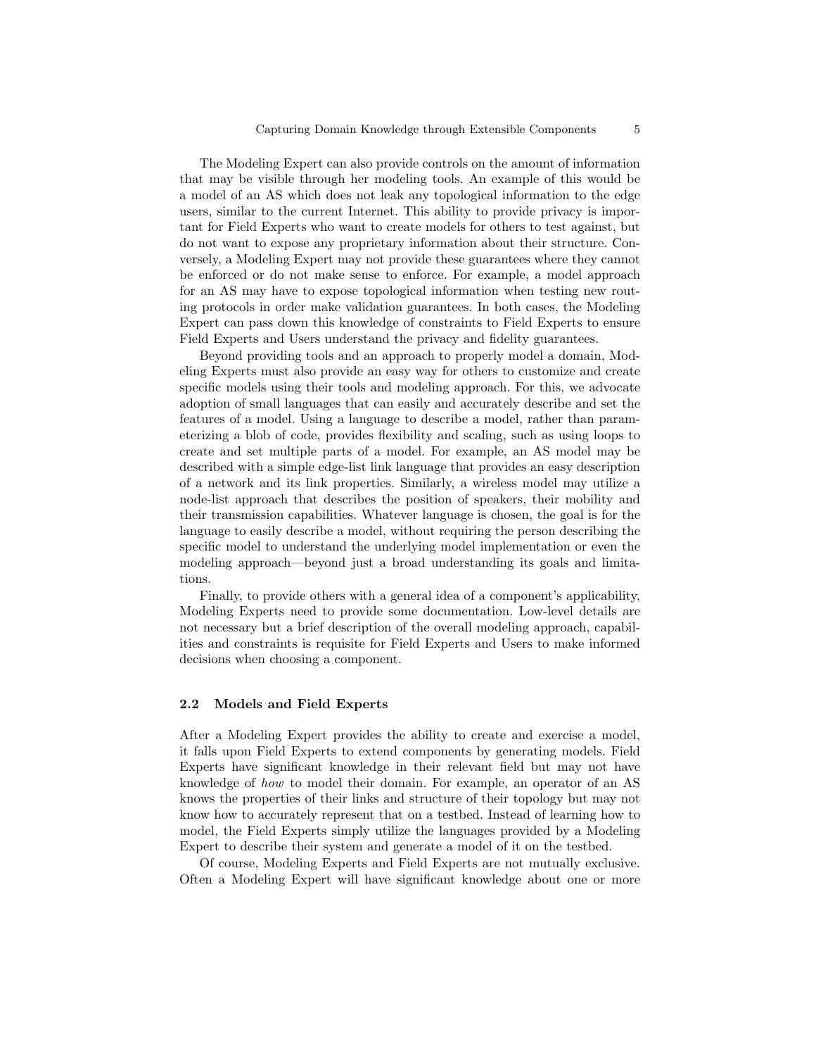The Modeling Expert can also provide controls on the amount of information that may be visible through her modeling tools. An example of this would be a model of an AS which does not leak any topological information to the edge users, similar to the current Internet. This ability to provide privacy is important for Field Experts who want to create models for others to test against, but do not want to expose any proprietary information about their structure. Conversely, a Modeling Expert may not provide these guarantees where they cannot be enforced or do not make sense to enforce. For example, a model approach for an AS may have to expose topological information when testing new routing protocols in order make validation guarantees. In both cases, the Modeling Expert can pass down this knowledge of constraints to Field Experts to ensure Field Experts and Users understand the privacy and fidelity guarantees.

Beyond providing tools and an approach to properly model a domain, Modeling Experts must also provide an easy way for others to customize and create specific models using their tools and modeling approach. For this, we advocate adoption of small languages that can easily and accurately describe and set the features of a model. Using a language to describe a model, rather than parameterizing a blob of code, provides flexibility and scaling, such as using loops to create and set multiple parts of a model. For example, an AS model may be described with a simple edge-list link language that provides an easy description of a network and its link properties. Similarly, a wireless model may utilize a node-list approach that describes the position of speakers, their mobility and their transmission capabilities. Whatever language is chosen, the goal is for the language to easily describe a model, without requiring the person describing the specific model to understand the underlying model implementation or even the modeling approach—beyond just a broad understanding its goals and limitations.

Finally, to provide others with a general idea of a component's applicability, Modeling Experts need to provide some documentation. Low-level details are not necessary but a brief description of the overall modeling approach, capabilities and constraints is requisite for Field Experts and Users to make informed decisions when choosing a component.

## 2.2 Models and Field Experts

After a Modeling Expert provides the ability to create and exercise a model, it falls upon Field Experts to extend components by generating models. Field Experts have significant knowledge in their relevant field but may not have knowledge of how to model their domain. For example, an operator of an AS knows the properties of their links and structure of their topology but may not know how to accurately represent that on a testbed. Instead of learning how to model, the Field Experts simply utilize the languages provided by a Modeling Expert to describe their system and generate a model of it on the testbed.

Of course, Modeling Experts and Field Experts are not mutually exclusive. Often a Modeling Expert will have significant knowledge about one or more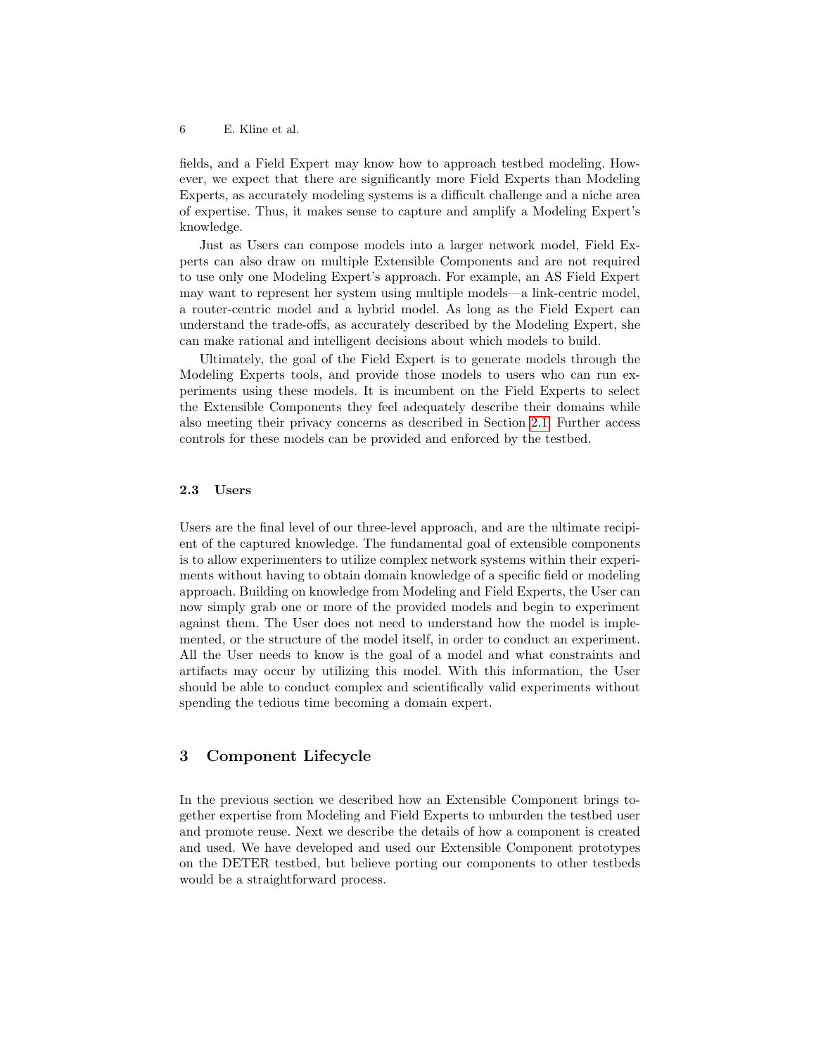fields, and a Field Expert may know how to approach testbed modeling. However, we expect that there are significantly more Field Experts than Modeling Experts, as accurately modeling systems is a difficult challenge and a niche area of expertise. Thus, it makes sense to capture and amplify a Modeling Expert's knowledge.

Just as Users can compose models into a larger network model, Field Experts can also draw on multiple Extensible Components and are not required to use only one Modeling Expert's approach. For example, an AS Field Expert may want to represent her system using multiple models—a link-centric model, a router-centric model and a hybrid model. As long as the Field Expert can understand the trade-offs, as accurately described by the Modeling Expert, she can make rational and intelligent decisions about which models to build.

Ultimately, the goal of the Field Expert is to generate models through the Modeling Experts tools, and provide those models to users who can run experiments using these models. It is incumbent on the Field Experts to select the Extensible Components they feel adequately describe their domains while also meeting their privacy concerns as described in Section [2.1.](#page-2-2) Further access controls for these models can be provided and enforced by the testbed.

#### 2.3 Users

Users are the final level of our three-level approach, and are the ultimate recipient of the captured knowledge. The fundamental goal of extensible components is to allow experimenters to utilize complex network systems within their experiments without having to obtain domain knowledge of a specific field or modeling approach. Building on knowledge from Modeling and Field Experts, the User can now simply grab one or more of the provided models and begin to experiment against them. The User does not need to understand how the model is implemented, or the structure of the model itself, in order to conduct an experiment. All the User needs to know is the goal of a model and what constraints and artifacts may occur by utilizing this model. With this information, the User should be able to conduct complex and scientifically valid experiments without spending the tedious time becoming a domain expert.

# 3 Component Lifecycle

In the previous section we described how an Extensible Component brings together expertise from Modeling and Field Experts to unburden the testbed user and promote reuse. Next we describe the details of how a component is created and used. We have developed and used our Extensible Component prototypes on the DETER testbed, but believe porting our components to other testbeds would be a straightforward process.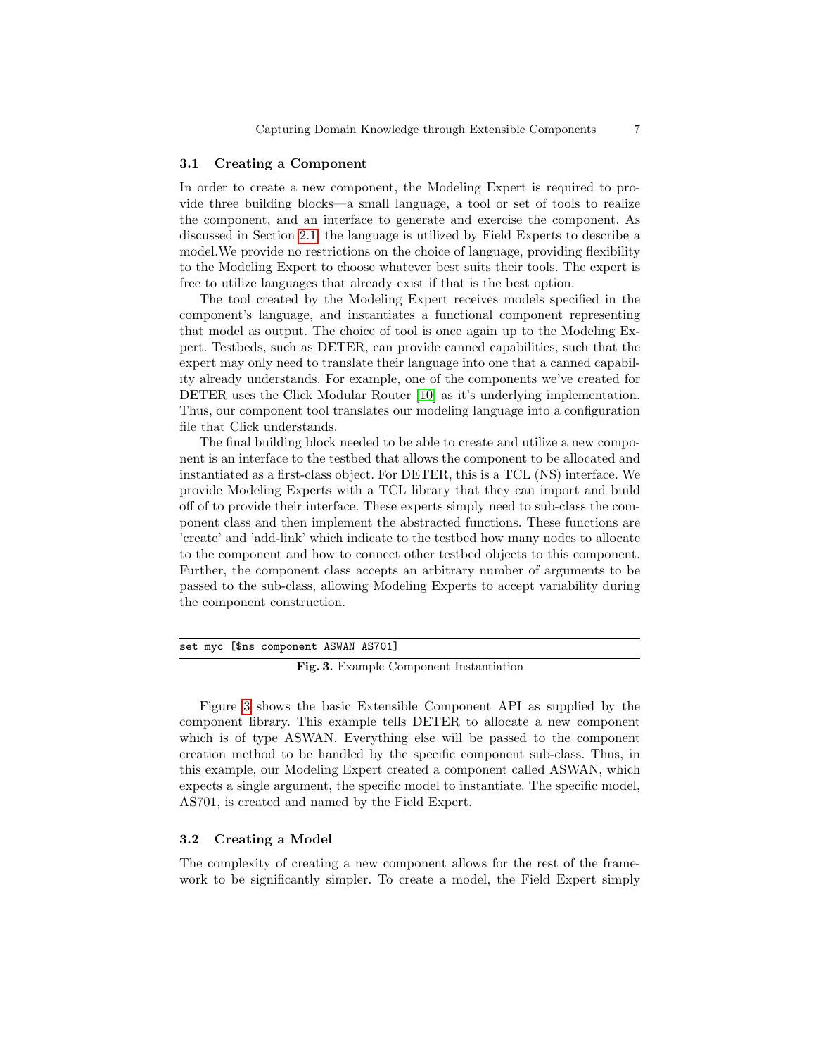#### <span id="page-6-0"></span>3.1 Creating a Component

In order to create a new component, the Modeling Expert is required to provide three building blocks—a small language, a tool or set of tools to realize the component, and an interface to generate and exercise the component. As discussed in Section [2.1,](#page-2-2) the language is utilized by Field Experts to describe a model.We provide no restrictions on the choice of language, providing flexibility to the Modeling Expert to choose whatever best suits their tools. The expert is free to utilize languages that already exist if that is the best option.

The tool created by the Modeling Expert receives models specified in the component's language, and instantiates a functional component representing that model as output. The choice of tool is once again up to the Modeling Expert. Testbeds, such as DETER, can provide canned capabilities, such that the expert may only need to translate their language into one that a canned capability already understands. For example, one of the components we've created for DETER uses the Click Modular Router [\[10\]](#page-15-0) as it's underlying implementation. Thus, our component tool translates our modeling language into a configuration file that Click understands.

The final building block needed to be able to create and utilize a new component is an interface to the testbed that allows the component to be allocated and instantiated as a first-class object. For DETER, this is a TCL (NS) interface. We provide Modeling Experts with a TCL library that they can import and build off of to provide their interface. These experts simply need to sub-class the component class and then implement the abstracted functions. These functions are 'create' and 'add-link' which indicate to the testbed how many nodes to allocate to the component and how to connect other testbed objects to this component. Further, the component class accepts an arbitrary number of arguments to be passed to the sub-class, allowing Modeling Experts to accept variability during the component construction.

|  | set myc [\$ns component ASWAN AS701] |  |
|--|--------------------------------------|--|
|  |                                      |  |

<span id="page-6-2"></span>Fig. 3. Example Component Instantiation

Figure [3](#page-6-2) shows the basic Extensible Component API as supplied by the component library. This example tells DETER to allocate a new component which is of type ASWAN. Everything else will be passed to the component creation method to be handled by the specific component sub-class. Thus, in this example, our Modeling Expert created a component called ASWAN, which expects a single argument, the specific model to instantiate. The specific model, AS701, is created and named by the Field Expert.

#### <span id="page-6-1"></span>3.2 Creating a Model

The complexity of creating a new component allows for the rest of the framework to be significantly simpler. To create a model, the Field Expert simply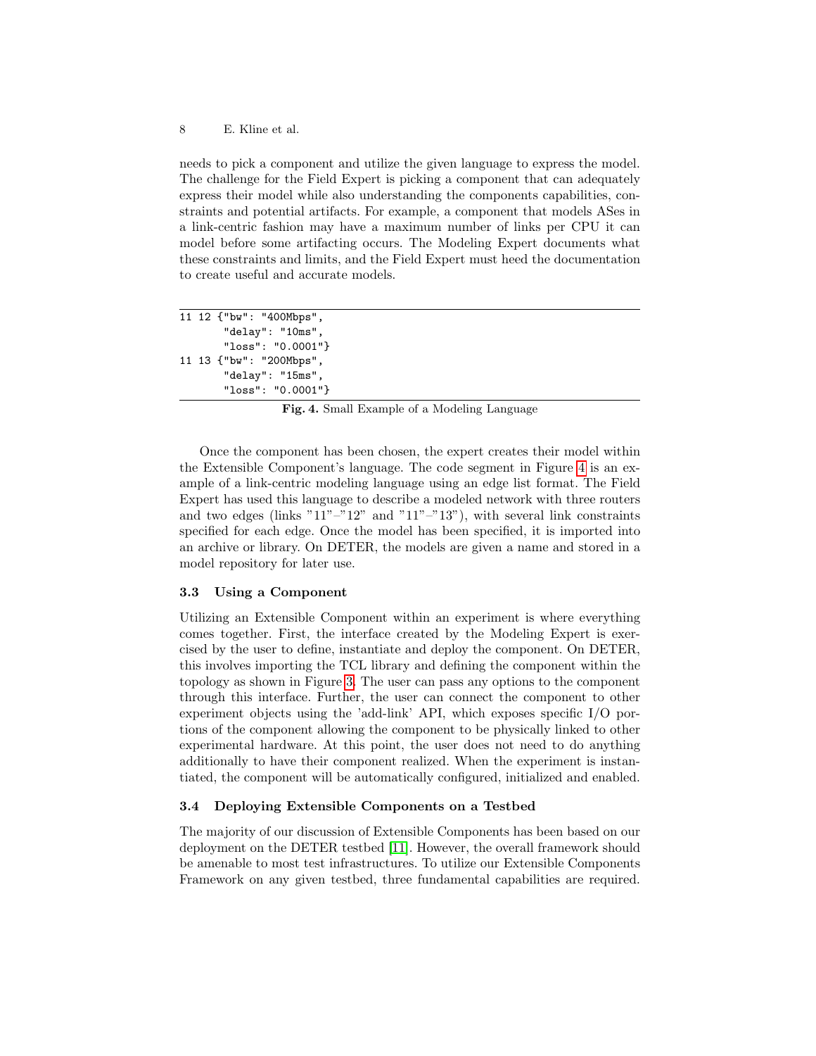needs to pick a component and utilize the given language to express the model. The challenge for the Field Expert is picking a component that can adequately express their model while also understanding the components capabilities, constraints and potential artifacts. For example, a component that models ASes in a link-centric fashion may have a maximum number of links per CPU it can model before some artifacting occurs. The Modeling Expert documents what these constraints and limits, and the Field Expert must heed the documentation to create useful and accurate models.

```
11 12 {"bw": "400Mbps",
       "delay": "10ms",
       "loss": "0.0001"}
11 13 {"bw": "200Mbps",
       "delay": "15ms",
       "loss": "0.0001"}
```
<span id="page-7-2"></span>Fig. 4. Small Example of a Modeling Language

Once the component has been chosen, the expert creates their model within the Extensible Component's language. The code segment in Figure [4](#page-7-2) is an example of a link-centric modeling language using an edge list format. The Field Expert has used this language to describe a modeled network with three routers and two edges (links " $11"$ –" $12"$  and " $11"$ –" $13"$ ), with several link constraints specified for each edge. Once the model has been specified, it is imported into an archive or library. On DETER, the models are given a name and stored in a model repository for later use.

## <span id="page-7-0"></span>3.3 Using a Component

Utilizing an Extensible Component within an experiment is where everything comes together. First, the interface created by the Modeling Expert is exercised by the user to define, instantiate and deploy the component. On DETER, this involves importing the TCL library and defining the component within the topology as shown in Figure [3.](#page-6-2) The user can pass any options to the component through this interface. Further, the user can connect the component to other experiment objects using the 'add-link' API, which exposes specific I/O portions of the component allowing the component to be physically linked to other experimental hardware. At this point, the user does not need to do anything additionally to have their component realized. When the experiment is instantiated, the component will be automatically configured, initialized and enabled.

## <span id="page-7-1"></span>3.4 Deploying Extensible Components on a Testbed

The majority of our discussion of Extensible Components has been based on our deployment on the DETER testbed [\[11\]](#page-15-2). However, the overall framework should be amenable to most test infrastructures. To utilize our Extensible Components Framework on any given testbed, three fundamental capabilities are required.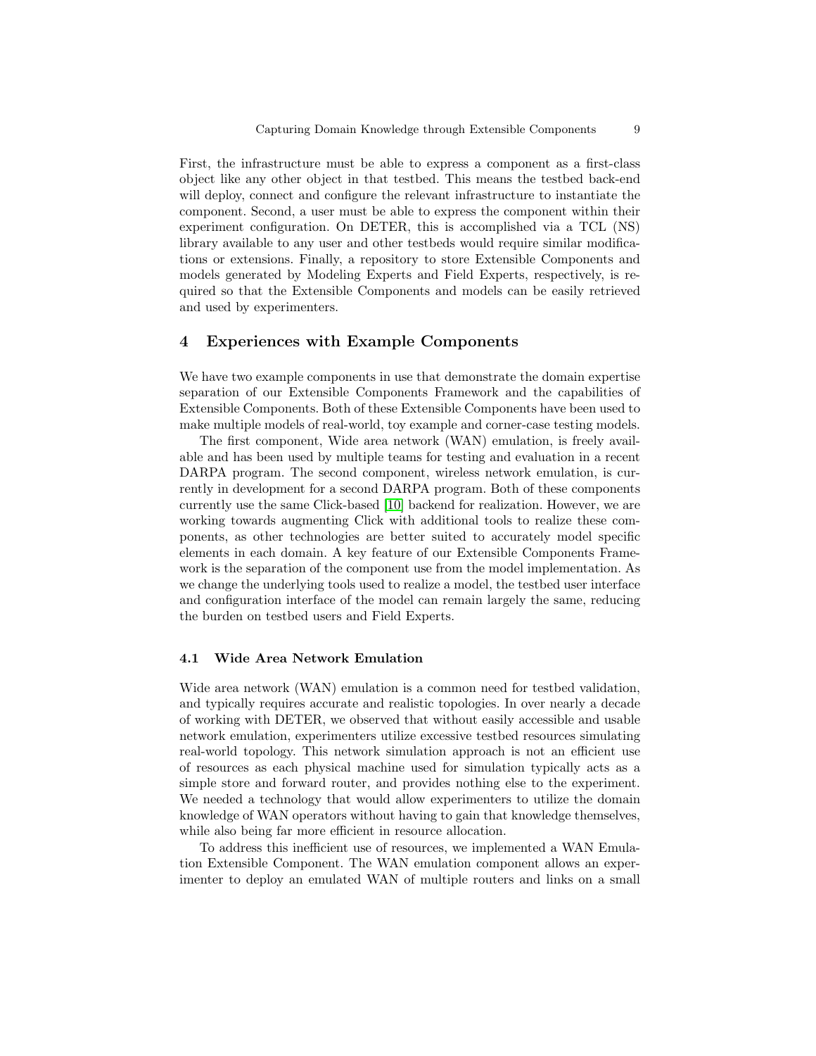First, the infrastructure must be able to express a component as a first-class object like any other object in that testbed. This means the testbed back-end will deploy, connect and configure the relevant infrastructure to instantiate the component. Second, a user must be able to express the component within their experiment configuration. On DETER, this is accomplished via a TCL (NS) library available to any user and other testbeds would require similar modifications or extensions. Finally, a repository to store Extensible Components and models generated by Modeling Experts and Field Experts, respectively, is required so that the Extensible Components and models can be easily retrieved and used by experimenters.

# 4 Experiences with Example Components

We have two example components in use that demonstrate the domain expertise separation of our Extensible Components Framework and the capabilities of Extensible Components. Both of these Extensible Components have been used to make multiple models of real-world, toy example and corner-case testing models.

The first component, Wide area network (WAN) emulation, is freely available and has been used by multiple teams for testing and evaluation in a recent DARPA program. The second component, wireless network emulation, is currently in development for a second DARPA program. Both of these components currently use the same Click-based [\[10\]](#page-15-0) backend for realization. However, we are working towards augmenting Click with additional tools to realize these components, as other technologies are better suited to accurately model specific elements in each domain. A key feature of our Extensible Components Framework is the separation of the component use from the model implementation. As we change the underlying tools used to realize a model, the testbed user interface and configuration interface of the model can remain largely the same, reducing the burden on testbed users and Field Experts.

#### <span id="page-8-0"></span>4.1 Wide Area Network Emulation

Wide area network (WAN) emulation is a common need for testbed validation, and typically requires accurate and realistic topologies. In over nearly a decade of working with DETER, we observed that without easily accessible and usable network emulation, experimenters utilize excessive testbed resources simulating real-world topology. This network simulation approach is not an efficient use of resources as each physical machine used for simulation typically acts as a simple store and forward router, and provides nothing else to the experiment. We needed a technology that would allow experimenters to utilize the domain knowledge of WAN operators without having to gain that knowledge themselves, while also being far more efficient in resource allocation.

To address this inefficient use of resources, we implemented a WAN Emulation Extensible Component. The WAN emulation component allows an experimenter to deploy an emulated WAN of multiple routers and links on a small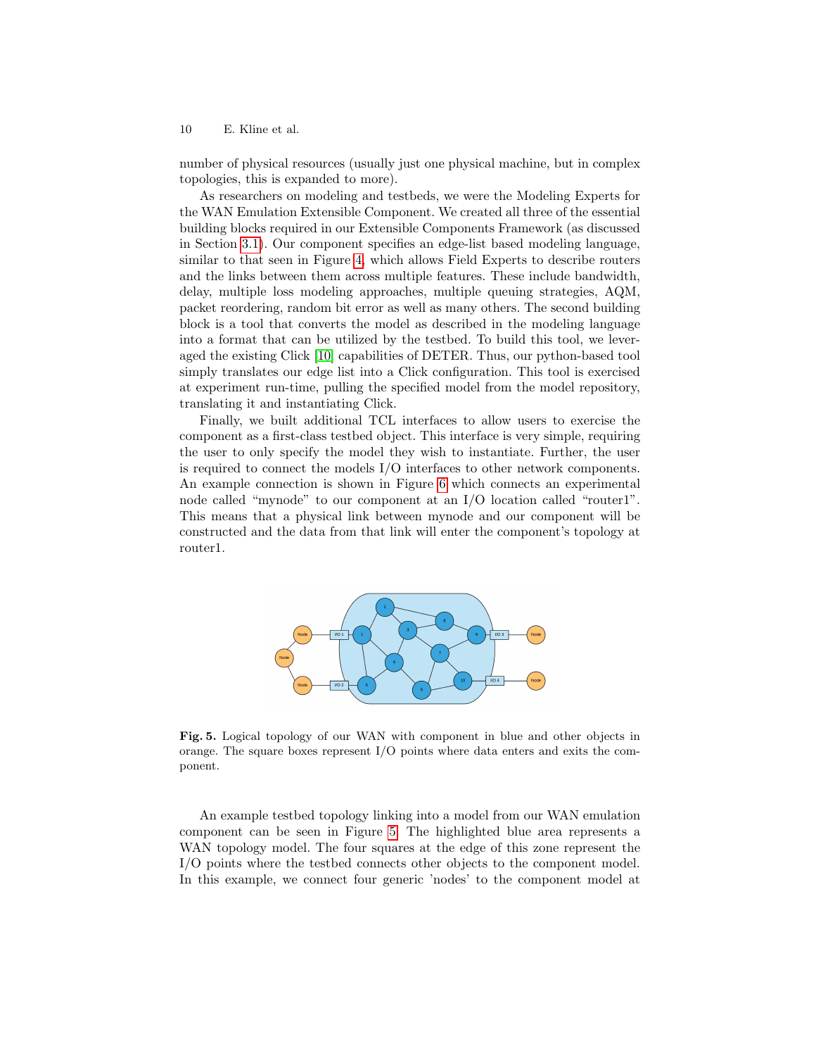number of physical resources (usually just one physical machine, but in complex topologies, this is expanded to more).

As researchers on modeling and testbeds, we were the Modeling Experts for the WAN Emulation Extensible Component. We created all three of the essential building blocks required in our Extensible Components Framework (as discussed in Section [3.1\)](#page-6-0). Our component specifies an edge-list based modeling language, similar to that seen in Figure [4,](#page-7-2) which allows Field Experts to describe routers and the links between them across multiple features. These include bandwidth, delay, multiple loss modeling approaches, multiple queuing strategies, AQM, packet reordering, random bit error as well as many others. The second building block is a tool that converts the model as described in the modeling language into a format that can be utilized by the testbed. To build this tool, we leveraged the existing Click [\[10\]](#page-15-0) capabilities of DETER. Thus, our python-based tool simply translates our edge list into a Click configuration. This tool is exercised at experiment run-time, pulling the specified model from the model repository, translating it and instantiating Click.

Finally, we built additional TCL interfaces to allow users to exercise the component as a first-class testbed object. This interface is very simple, requiring the user to only specify the model they wish to instantiate. Further, the user is required to connect the models I/O interfaces to other network components. An example connection is shown in Figure [6](#page-10-0) which connects an experimental node called "mynode" to our component at an I/O location called "router1". This means that a physical link between mynode and our component will be constructed and the data from that link will enter the component's topology at router1.



<span id="page-9-0"></span>Fig. 5. Logical topology of our WAN with component in blue and other objects in orange. The square boxes represent I/O points where data enters and exits the component.

An example testbed topology linking into a model from our WAN emulation component can be seen in Figure [5.](#page-9-0) The highlighted blue area represents a WAN topology model. The four squares at the edge of this zone represent the I/O points where the testbed connects other objects to the component model. In this example, we connect four generic 'nodes' to the component model at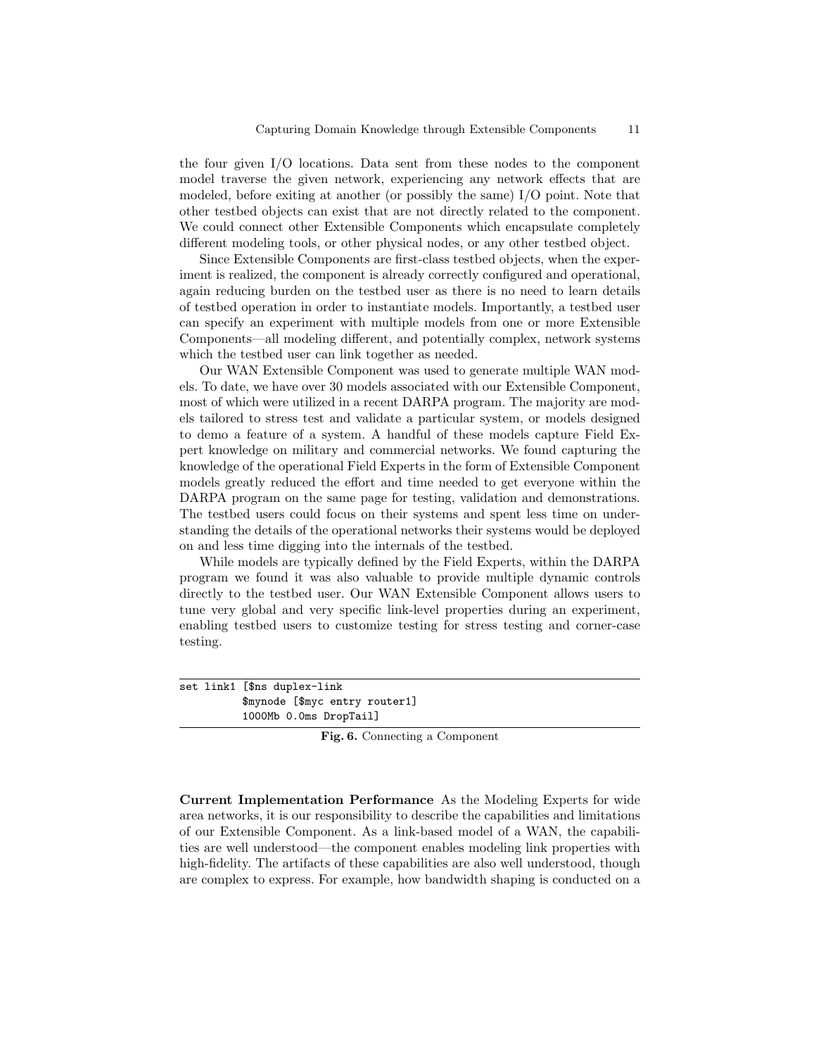the four given I/O locations. Data sent from these nodes to the component model traverse the given network, experiencing any network effects that are modeled, before exiting at another (or possibly the same) I/O point. Note that other testbed objects can exist that are not directly related to the component. We could connect other Extensible Components which encapsulate completely different modeling tools, or other physical nodes, or any other testbed object.

Since Extensible Components are first-class testbed objects, when the experiment is realized, the component is already correctly configured and operational, again reducing burden on the testbed user as there is no need to learn details of testbed operation in order to instantiate models. Importantly, a testbed user can specify an experiment with multiple models from one or more Extensible Components—all modeling different, and potentially complex, network systems which the testbed user can link together as needed.

Our WAN Extensible Component was used to generate multiple WAN models. To date, we have over 30 models associated with our Extensible Component, most of which were utilized in a recent DARPA program. The majority are models tailored to stress test and validate a particular system, or models designed to demo a feature of a system. A handful of these models capture Field Expert knowledge on military and commercial networks. We found capturing the knowledge of the operational Field Experts in the form of Extensible Component models greatly reduced the effort and time needed to get everyone within the DARPA program on the same page for testing, validation and demonstrations. The testbed users could focus on their systems and spent less time on understanding the details of the operational networks their systems would be deployed on and less time digging into the internals of the testbed.

While models are typically defined by the Field Experts, within the DARPA program we found it was also valuable to provide multiple dynamic controls directly to the testbed user. Our WAN Extensible Component allows users to tune very global and very specific link-level properties during an experiment, enabling testbed users to customize testing for stress testing and corner-case testing.

|  | set link1 [\$ns duplex-link    |  |  |
|--|--------------------------------|--|--|
|  | \$mynode [\$myc entry router1] |  |  |
|  | 1000Mb 0.0ms DropTail]         |  |  |

<span id="page-10-0"></span>Fig. 6. Connecting a Component

Current Implementation Performance As the Modeling Experts for wide area networks, it is our responsibility to describe the capabilities and limitations of our Extensible Component. As a link-based model of a WAN, the capabilities are well understood—the component enables modeling link properties with high-fidelity. The artifacts of these capabilities are also well understood, though are complex to express. For example, how bandwidth shaping is conducted on a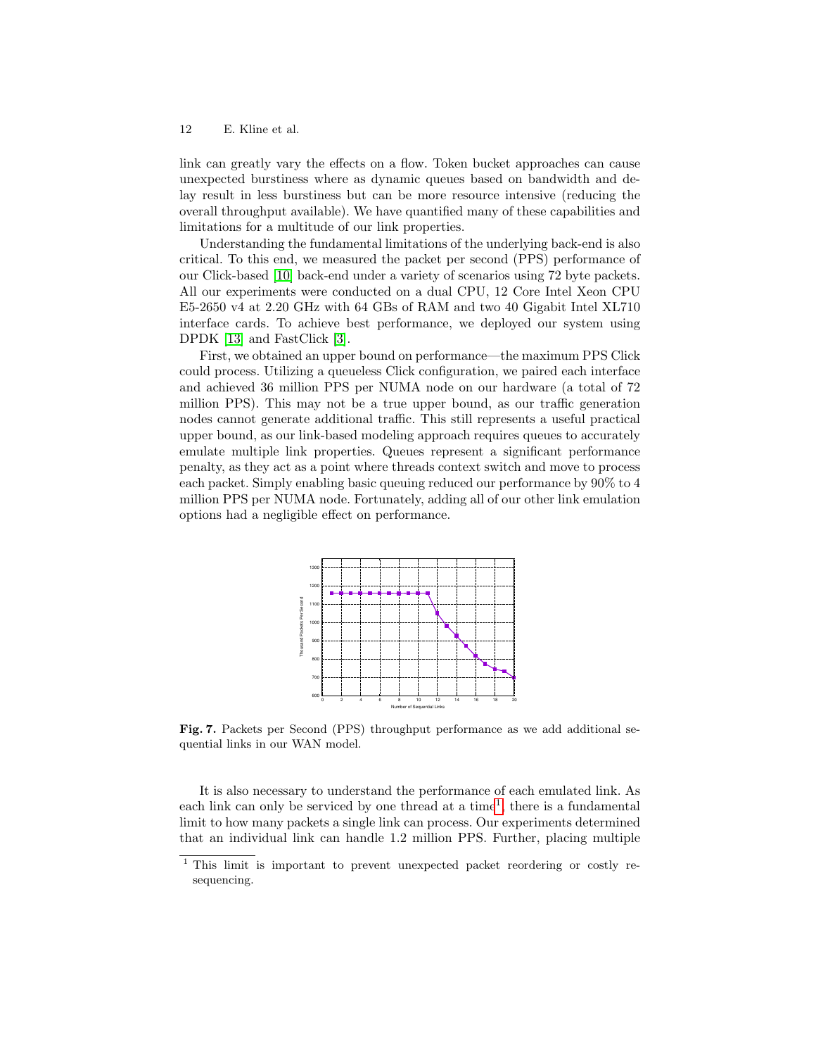link can greatly vary the effects on a flow. Token bucket approaches can cause unexpected burstiness where as dynamic queues based on bandwidth and delay result in less burstiness but can be more resource intensive (reducing the overall throughput available). We have quantified many of these capabilities and limitations for a multitude of our link properties.

Understanding the fundamental limitations of the underlying back-end is also critical. To this end, we measured the packet per second (PPS) performance of our Click-based [\[10\]](#page-15-0) back-end under a variety of scenarios using 72 byte packets. All our experiments were conducted on a dual CPU, 12 Core Intel Xeon CPU E5-2650 v4 at 2.20 GHz with 64 GBs of RAM and two 40 Gigabit Intel XL710 interface cards. To achieve best performance, we deployed our system using DPDK [\[13\]](#page-15-3) and FastClick [\[3\]](#page-14-0).

First, we obtained an upper bound on performance—the maximum PPS Click could process. Utilizing a queueless Click configuration, we paired each interface and achieved 36 million PPS per NUMA node on our hardware (a total of 72 million PPS). This may not be a true upper bound, as our traffic generation nodes cannot generate additional traffic. This still represents a useful practical upper bound, as our link-based modeling approach requires queues to accurately emulate multiple link properties. Queues represent a significant performance penalty, as they act as a point where threads context switch and move to process each packet. Simply enabling basic queuing reduced our performance by 90% to 4 million PPS per NUMA node. Fortunately, adding all of our other link emulation options had a negligible effect on performance.



<span id="page-11-1"></span>Fig. 7. Packets per Second (PPS) throughput performance as we add additional sequential links in our WAN model.

It is also necessary to understand the performance of each emulated link. As each link can only be serviced by one thread at a time<sup>[1](#page-11-0)</sup>, there is a fundamental limit to how many packets a single link can process. Our experiments determined that an individual link can handle 1.2 million PPS. Further, placing multiple

<span id="page-11-0"></span><sup>1</sup> This limit is important to prevent unexpected packet reordering or costly resequencing.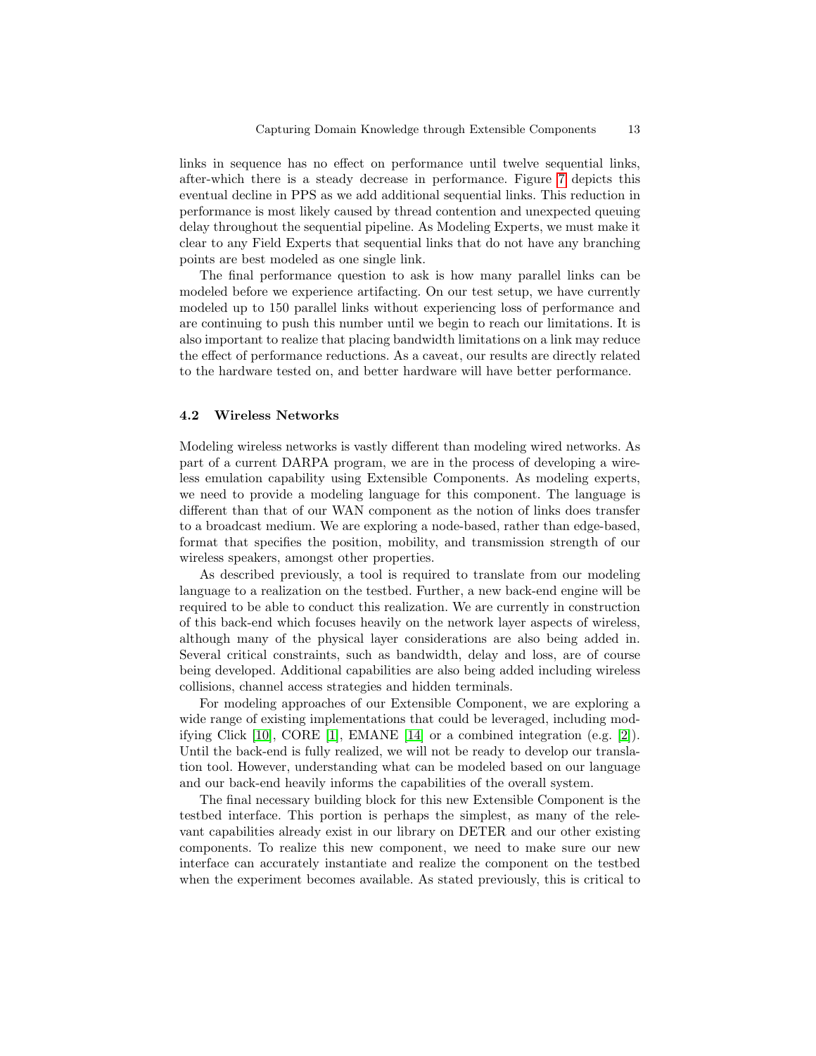links in sequence has no effect on performance until twelve sequential links, after-which there is a steady decrease in performance. Figure [7](#page-11-1) depicts this eventual decline in PPS as we add additional sequential links. This reduction in performance is most likely caused by thread contention and unexpected queuing delay throughout the sequential pipeline. As Modeling Experts, we must make it clear to any Field Experts that sequential links that do not have any branching points are best modeled as one single link.

The final performance question to ask is how many parallel links can be modeled before we experience artifacting. On our test setup, we have currently modeled up to 150 parallel links without experiencing loss of performance and are continuing to push this number until we begin to reach our limitations. It is also important to realize that placing bandwidth limitations on a link may reduce the effect of performance reductions. As a caveat, our results are directly related to the hardware tested on, and better hardware will have better performance.

#### <span id="page-12-0"></span>4.2 Wireless Networks

Modeling wireless networks is vastly different than modeling wired networks. As part of a current DARPA program, we are in the process of developing a wireless emulation capability using Extensible Components. As modeling experts, we need to provide a modeling language for this component. The language is different than that of our WAN component as the notion of links does transfer to a broadcast medium. We are exploring a node-based, rather than edge-based, format that specifies the position, mobility, and transmission strength of our wireless speakers, amongst other properties.

As described previously, a tool is required to translate from our modeling language to a realization on the testbed. Further, a new back-end engine will be required to be able to conduct this realization. We are currently in construction of this back-end which focuses heavily on the network layer aspects of wireless, although many of the physical layer considerations are also being added in. Several critical constraints, such as bandwidth, delay and loss, are of course being developed. Additional capabilities are also being added including wireless collisions, channel access strategies and hidden terminals.

For modeling approaches of our Extensible Component, we are exploring a wide range of existing implementations that could be leveraged, including modifying Click  $[10]$ , CORE  $[1]$ , EMANE  $[14]$  or a combined integration  $(e.g. [2])$  $(e.g. [2])$  $(e.g. [2])$ . Until the back-end is fully realized, we will not be ready to develop our translation tool. However, understanding what can be modeled based on our language and our back-end heavily informs the capabilities of the overall system.

The final necessary building block for this new Extensible Component is the testbed interface. This portion is perhaps the simplest, as many of the relevant capabilities already exist in our library on DETER and our other existing components. To realize this new component, we need to make sure our new interface can accurately instantiate and realize the component on the testbed when the experiment becomes available. As stated previously, this is critical to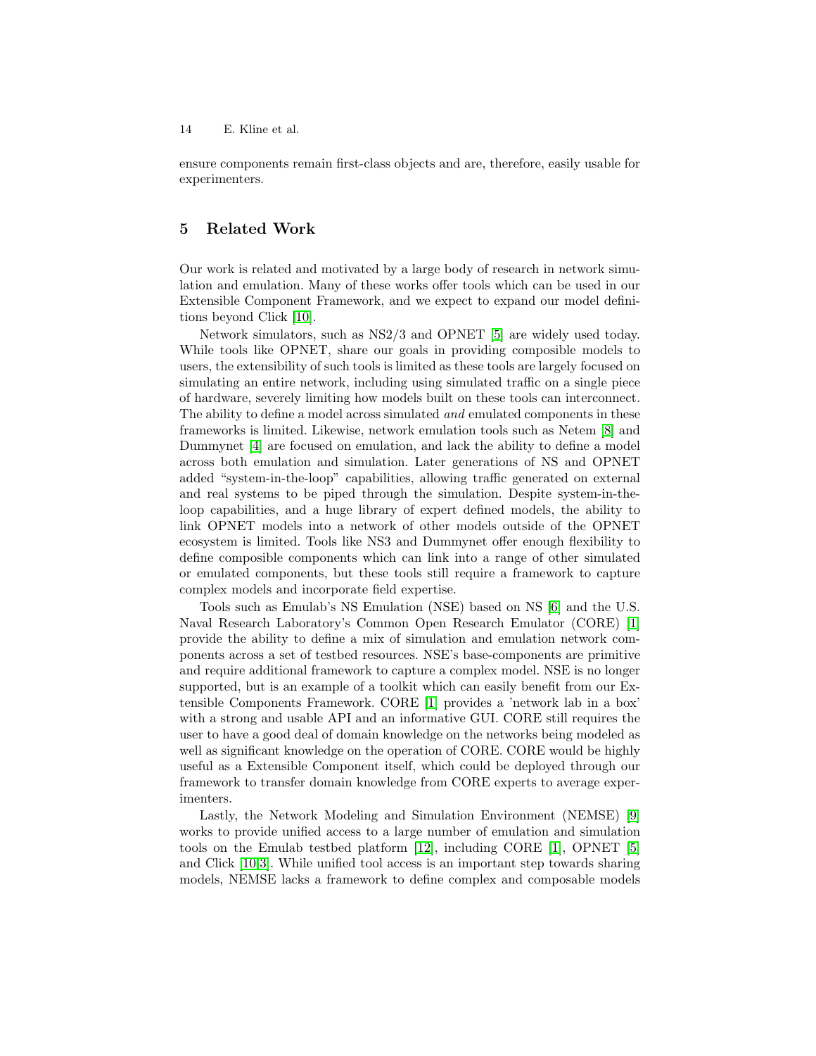ensure components remain first-class objects and are, therefore, easily usable for experimenters.

# 5 Related Work

Our work is related and motivated by a large body of research in network simulation and emulation. Many of these works offer tools which can be used in our Extensible Component Framework, and we expect to expand our model definitions beyond Click [\[10\]](#page-15-0).

Network simulators, such as NS2/3 and OPNET [\[5\]](#page-15-5) are widely used today. While tools like OPNET, share our goals in providing composible models to users, the extensibility of such tools is limited as these tools are largely focused on simulating an entire network, including using simulated traffic on a single piece of hardware, severely limiting how models built on these tools can interconnect. The ability to define a model across simulated *and* emulated components in these frameworks is limited. Likewise, network emulation tools such as Netem [\[8\]](#page-15-6) and Dummynet [\[4\]](#page-14-3) are focused on emulation, and lack the ability to define a model across both emulation and simulation. Later generations of NS and OPNET added "system-in-the-loop" capabilities, allowing traffic generated on external and real systems to be piped through the simulation. Despite system-in-theloop capabilities, and a huge library of expert defined models, the ability to link OPNET models into a network of other models outside of the OPNET ecosystem is limited. Tools like NS3 and Dummynet offer enough flexibility to define composible components which can link into a range of other simulated or emulated components, but these tools still require a framework to capture complex models and incorporate field expertise.

Tools such as Emulab's NS Emulation (NSE) based on NS [\[6\]](#page-15-7) and the U.S. Naval Research Laboratory's Common Open Research Emulator (CORE) [\[1\]](#page-14-1) provide the ability to define a mix of simulation and emulation network components across a set of testbed resources. NSE's base-components are primitive and require additional framework to capture a complex model. NSE is no longer supported, but is an example of a toolkit which can easily benefit from our Extensible Components Framework. CORE [\[1\]](#page-14-1) provides a 'network lab in a box' with a strong and usable API and an informative GUI. CORE still requires the user to have a good deal of domain knowledge on the networks being modeled as well as significant knowledge on the operation of CORE. CORE would be highly useful as a Extensible Component itself, which could be deployed through our framework to transfer domain knowledge from CORE experts to average experimenters.

Lastly, the Network Modeling and Simulation Environment (NEMSE) [\[9\]](#page-15-8) works to provide unified access to a large number of emulation and simulation tools on the Emulab testbed platform [\[12\]](#page-15-9), including CORE [\[1\]](#page-14-1), OPNET [\[5\]](#page-15-5) and Click [\[10](#page-15-0)[,3\]](#page-14-0). While unified tool access is an important step towards sharing models, NEMSE lacks a framework to define complex and composable models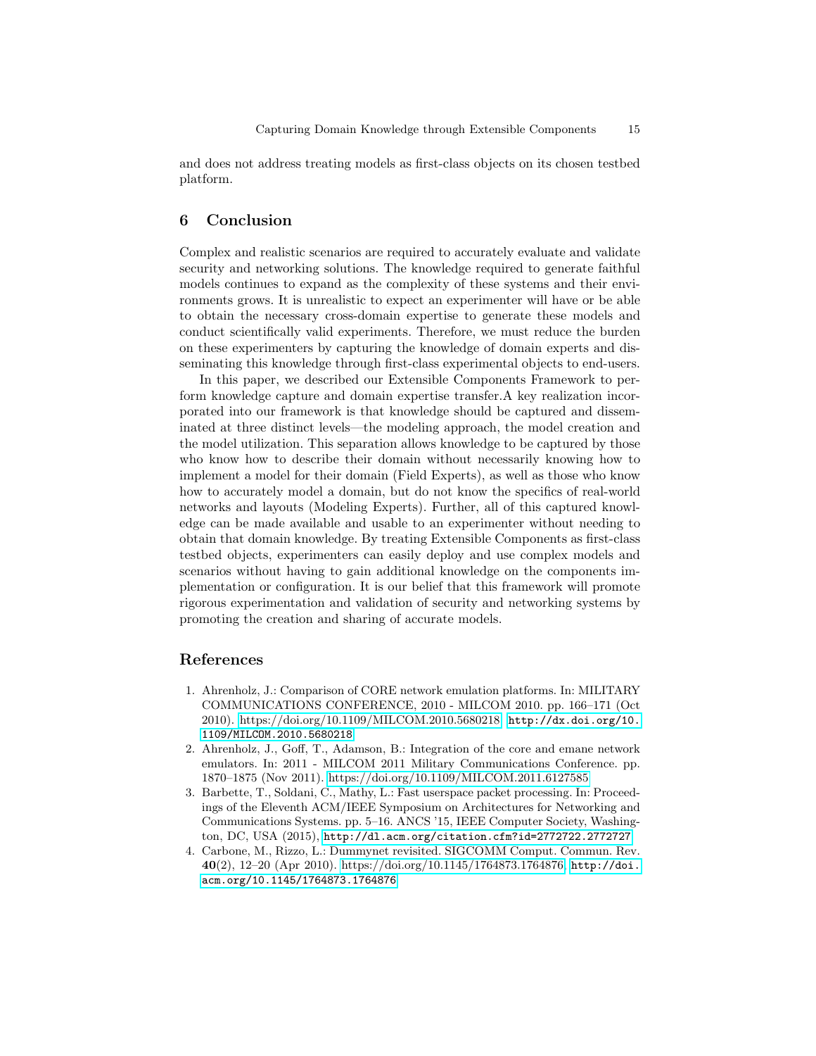and does not address treating models as first-class objects on its chosen testbed platform.

# 6 Conclusion

Complex and realistic scenarios are required to accurately evaluate and validate security and networking solutions. The knowledge required to generate faithful models continues to expand as the complexity of these systems and their environments grows. It is unrealistic to expect an experimenter will have or be able to obtain the necessary cross-domain expertise to generate these models and conduct scientifically valid experiments. Therefore, we must reduce the burden on these experimenters by capturing the knowledge of domain experts and disseminating this knowledge through first-class experimental objects to end-users.

In this paper, we described our Extensible Components Framework to perform knowledge capture and domain expertise transfer.A key realization incorporated into our framework is that knowledge should be captured and disseminated at three distinct levels—the modeling approach, the model creation and the model utilization. This separation allows knowledge to be captured by those who know how to describe their domain without necessarily knowing how to implement a model for their domain (Field Experts), as well as those who know how to accurately model a domain, but do not know the specifics of real-world networks and layouts (Modeling Experts). Further, all of this captured knowledge can be made available and usable to an experimenter without needing to obtain that domain knowledge. By treating Extensible Components as first-class testbed objects, experimenters can easily deploy and use complex models and scenarios without having to gain additional knowledge on the components implementation or configuration. It is our belief that this framework will promote rigorous experimentation and validation of security and networking systems by promoting the creation and sharing of accurate models.

# References

- <span id="page-14-1"></span>1. Ahrenholz, J.: Comparison of CORE network emulation platforms. In: MILITARY COMMUNICATIONS CONFERENCE, 2010 - MILCOM 2010. pp. 166–171 (Oct 2010). [https://doi.org/10.1109/MILCOM.2010.5680218,](https://doi.org/10.1109/MILCOM.2010.5680218) [http://dx.doi.org/10.](http://dx.doi.org/10.1109/MILCOM.2010.5680218) [1109/MILCOM.2010.5680218](http://dx.doi.org/10.1109/MILCOM.2010.5680218)
- <span id="page-14-2"></span>2. Ahrenholz, J., Goff, T., Adamson, B.: Integration of the core and emane network emulators. In: 2011 - MILCOM 2011 Military Communications Conference. pp. 1870–1875 (Nov 2011).<https://doi.org/10.1109/MILCOM.2011.6127585>
- <span id="page-14-0"></span>3. Barbette, T., Soldani, C., Mathy, L.: Fast userspace packet processing. In: Proceedings of the Eleventh ACM/IEEE Symposium on Architectures for Networking and Communications Systems. pp. 5–16. ANCS '15, IEEE Computer Society, Washington, DC, USA (2015), <http://dl.acm.org/citation.cfm?id=2772722.2772727>
- <span id="page-14-3"></span>4. Carbone, M., Rizzo, L.: Dummynet revisited. SIGCOMM Comput. Commun. Rev. 40(2), 12–20 (Apr 2010). [https://doi.org/10.1145/1764873.1764876,](https://doi.org/10.1145/1764873.1764876) [http://doi.](http://doi.acm.org/10.1145/1764873.1764876) [acm.org/10.1145/1764873.1764876](http://doi.acm.org/10.1145/1764873.1764876)